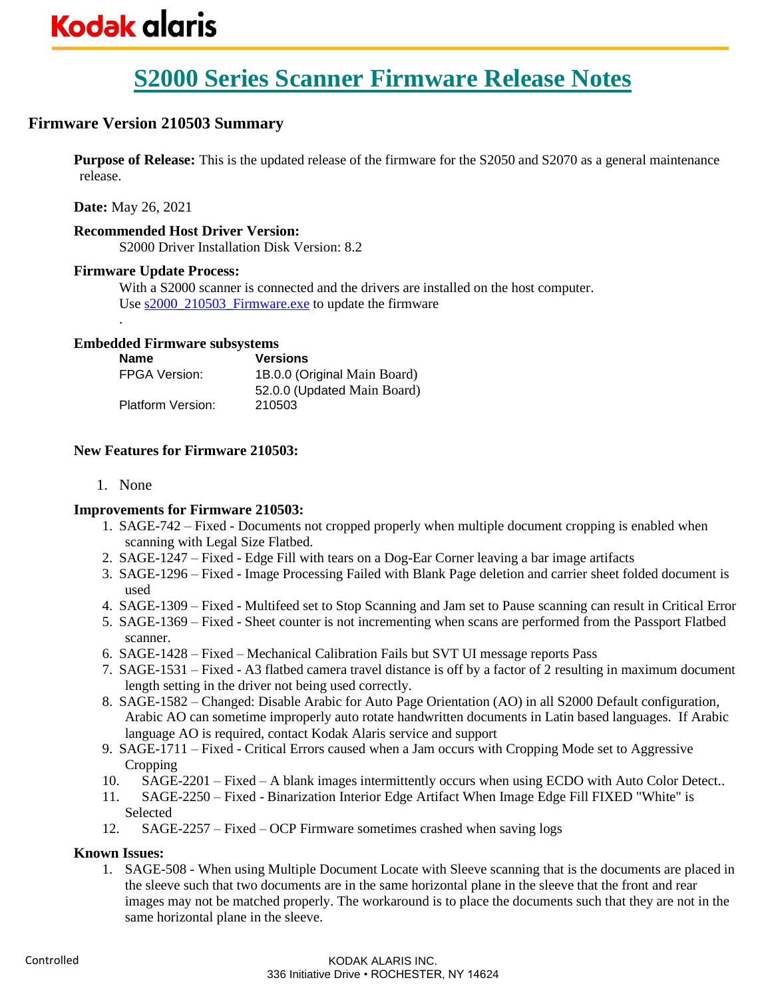### **Firmware Version 210503 Summary**

**Purpose of Release:** This is the updated release of the firmware for the S2050 and S2070 as a general maintenance release.

**Date:** May 26, 2021

.

### **Recommended Host Driver Version:**

S2000 Driver Installation Disk Version: 8.2

### **Firmware Update Process:**

With a S2000 scanner is connected and the drivers are installed on the host computer. Use s2000 210503 Firmware.exe to update the firmware

### **Embedded Firmware subsystems**

| <b>Name</b>              | <b>Versions</b>              |
|--------------------------|------------------------------|
| <b>FPGA Version:</b>     | 1B.0.0 (Original Main Board) |
|                          | 52.0.0 (Updated Main Board)  |
| <b>Platform Version:</b> | 210503                       |

### **New Features for Firmware 210503:**

1. None

### **Improvements for Firmware 210503:**

- 1. SAGE-742 Fixed Documents not cropped properly when multiple document cropping is enabled when scanning with Legal Size Flatbed.
- 2. SAGE-1247 Fixed Edge Fill with tears on a Dog-Ear Corner leaving a bar image artifacts
- 3. SAGE-1296 Fixed Image Processing Failed with Blank Page deletion and carrier sheet folded document is used
- 4. SAGE-1309 Fixed Multifeed set to Stop Scanning and Jam set to Pause scanning can result in Critical Error
- 5. SAGE-1369 Fixed Sheet counter is not incrementing when scans are performed from the Passport Flatbed scanner.
- 6. SAGE-1428 Fixed Mechanical Calibration Fails but SVT UI message reports Pass
- 7. SAGE-1531 Fixed A3 flatbed camera travel distance is off by a factor of 2 resulting in maximum document length setting in the driver not being used correctly.
- 8. SAGE-1582 Changed: Disable Arabic for Auto Page Orientation (AO) in all S2000 Default configuration, Arabic AO can sometime improperly auto rotate handwritten documents in Latin based languages. If Arabic language AO is required, contact Kodak Alaris service and support
- 9. SAGE-1711 Fixed Critical Errors caused when a Jam occurs with Cropping Mode set to Aggressive Cropping
- 10. SAGE-2201 Fixed A blank images intermittently occurs when using ECDO with Auto Color Detect..
- 11. SAGE-2250 Fixed Binarization Interior Edge Artifact When Image Edge Fill FIXED "White" is Selected
- 12. SAGE-2257 Fixed OCP Firmware sometimes crashed when saving logs

### **Known Issues:**

1. SAGE-508 - When using Multiple Document Locate with Sleeve scanning that is the documents are placed in the sleeve such that two documents are in the same horizontal plane in the sleeve that the front and rear images may not be matched properly. The workaround is to place the documents such that they are not in the same horizontal plane in the sleeve.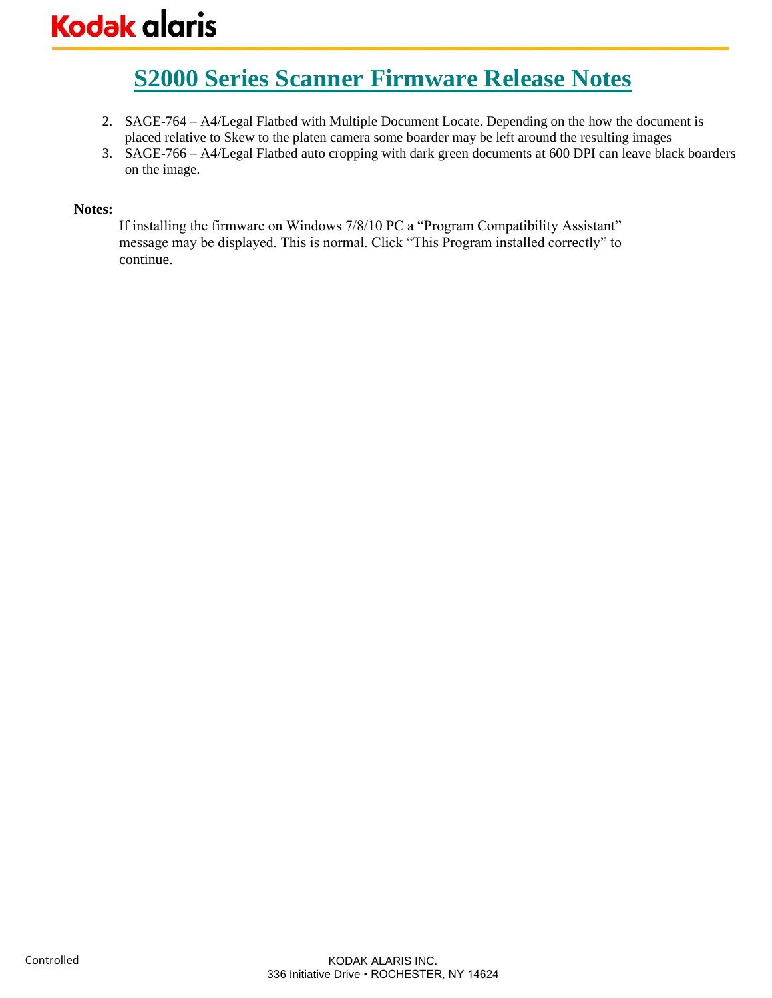# **Kodak alaris**

### **S2000 Series Scanner Firmware Release Notes**

- 2. SAGE-764 A4/Legal Flatbed with Multiple Document Locate. Depending on the how the document is placed relative to Skew to the platen camera some boarder may be left around the resulting images
- 3. SAGE-766 A4/Legal Flatbed auto cropping with dark green documents at 600 DPI can leave black boarders on the image.

### **Notes:**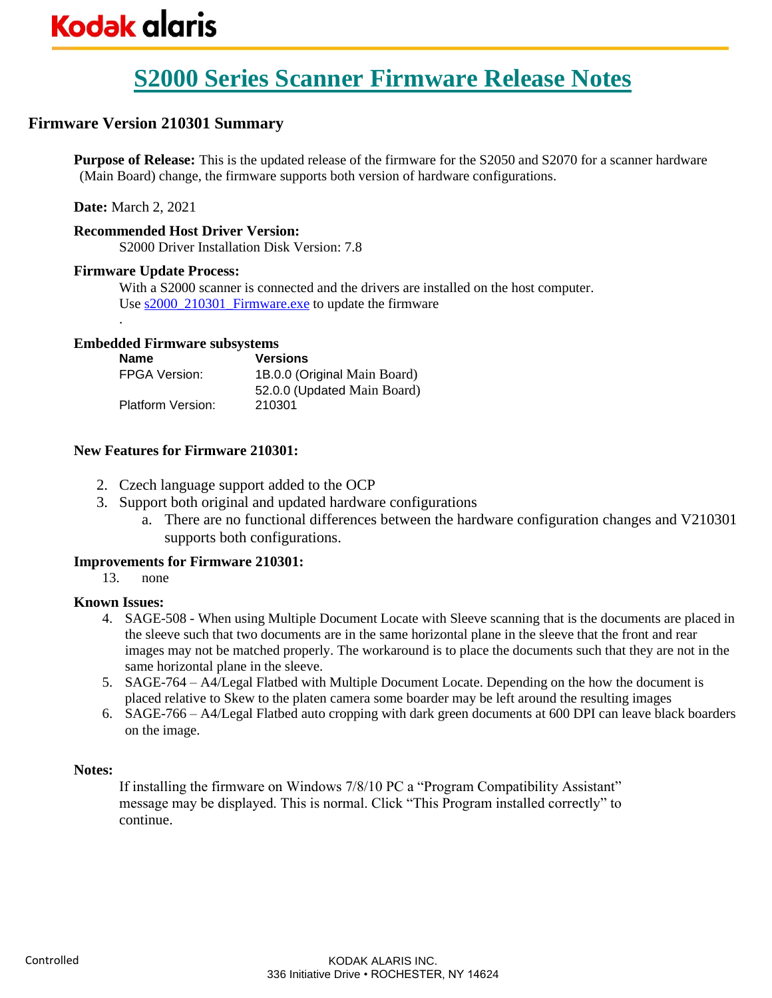### **Firmware Version 210301 Summary**

**Purpose of Release:** This is the updated release of the firmware for the S2050 and S2070 for a scanner hardware (Main Board) change, the firmware supports both version of hardware configurations.

**Date:** March 2, 2021

.

### **Recommended Host Driver Version:**

S2000 Driver Installation Disk Version: 7.8

### **Firmware Update Process:**

With a S2000 scanner is connected and the drivers are installed on the host computer. Use <u>s2000\_210301\_Firmware.exe</u> to update the firmware

### **Embedded Firmware subsystems**

| <b>Name</b>          | <b>Versions</b>              |
|----------------------|------------------------------|
| <b>FPGA Version:</b> | 1B.0.0 (Original Main Board) |
|                      | 52.0.0 (Updated Main Board)  |
| Platform Version:    | 210301                       |

### **New Features for Firmware 210301:**

- 2. Czech language support added to the OCP
- 3. Support both original and updated hardware configurations
	- a. There are no functional differences between the hardware configuration changes and V210301 supports both configurations.

### **Improvements for Firmware 210301:**

13. none

### **Known Issues:**

- 4. SAGE-508 When using Multiple Document Locate with Sleeve scanning that is the documents are placed in the sleeve such that two documents are in the same horizontal plane in the sleeve that the front and rear images may not be matched properly. The workaround is to place the documents such that they are not in the same horizontal plane in the sleeve.
- 5. SAGE-764 A4/Legal Flatbed with Multiple Document Locate. Depending on the how the document is placed relative to Skew to the platen camera some boarder may be left around the resulting images
- 6. SAGE-766 A4/Legal Flatbed auto cropping with dark green documents at 600 DPI can leave black boarders on the image.

### **Notes:**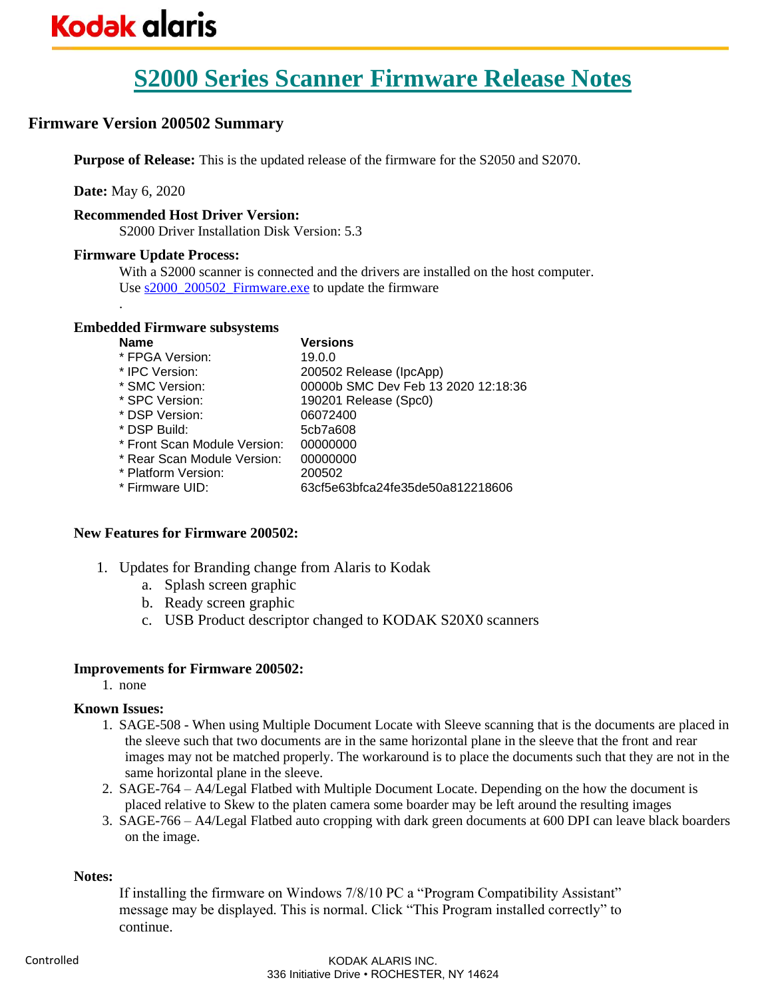### **Firmware Version 200502 Summary**

**Purpose of Release:** This is the updated release of the firmware for the S2050 and S2070.

**Date:** May 6, 2020

.

### **Recommended Host Driver Version:**

S2000 Driver Installation Disk Version: 5.3

### **Firmware Update Process:**

With a S2000 scanner is connected and the drivers are installed on the host computer. Use [s2000\\_200502\\_Firmware.exe](https://www.alarisworld.com/go/s2000support) to update the firmware

### **Embedded Firmware subsystems**

| Versions                            |
|-------------------------------------|
| 19.0.0                              |
| 200502 Release (IpcApp)             |
| 00000b SMC Dev Feb 13 2020 12:18:36 |
| 190201 Release (Spc0)               |
| 06072400                            |
| 5cb7a608                            |
| 00000000                            |
| 00000000                            |
| 200502                              |
| 63cf5e63bfca24fe35de50a812218606    |
|                                     |

### **New Features for Firmware 200502:**

- 1. Updates for Branding change from Alaris to Kodak
	- a. Splash screen graphic
	- b. Ready screen graphic
	- c. USB Product descriptor changed to KODAK S20X0 scanners

### **Improvements for Firmware 200502:**

1. none

### **Known Issues:**

- 1. SAGE-508 When using Multiple Document Locate with Sleeve scanning that is the documents are placed in the sleeve such that two documents are in the same horizontal plane in the sleeve that the front and rear images may not be matched properly. The workaround is to place the documents such that they are not in the same horizontal plane in the sleeve.
- 2. SAGE-764 A4/Legal Flatbed with Multiple Document Locate. Depending on the how the document is placed relative to Skew to the platen camera some boarder may be left around the resulting images
- 3. SAGE-766 A4/Legal Flatbed auto cropping with dark green documents at 600 DPI can leave black boarders on the image.

### **Notes:**

If installing the firmware on Windows 7/8/10 PC a "Program Compatibility Assistant" message may be displayed. This is normal. Click "This Program installed correctly" to continue.

#### KODAK ALARIS INC. 336 Initiative Drive • ROCHESTER, NY 14624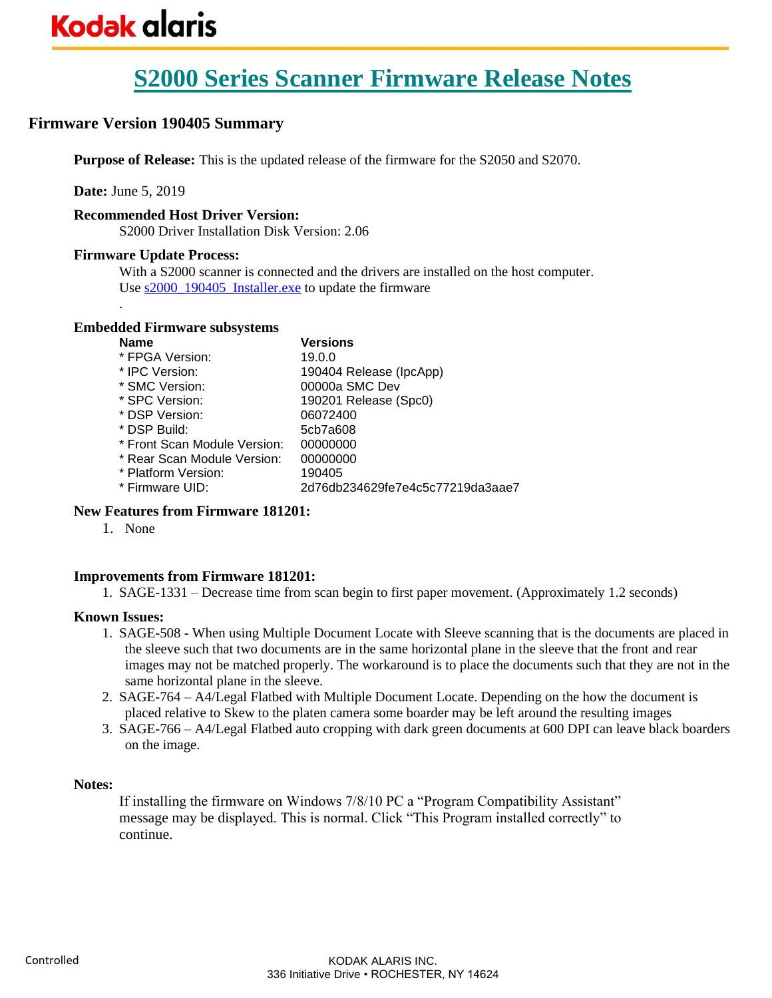### **Firmware Version 190405 Summary**

**Purpose of Release:** This is the updated release of the firmware for the S2050 and S2070.

**Date:** June 5, 2019

.

### **Recommended Host Driver Version:**

S2000 Driver Installation Disk Version: 2.06

### **Firmware Update Process:**

With a S2000 scanner is connected and the drivers are installed on the host computer. Use s2000 190405 Installer.exe to update the firmware

### **Embedded Firmware subsystems**

| <b>Name</b>                  | Versions                         |
|------------------------------|----------------------------------|
| * FPGA Version:              | 19.0.0                           |
| * IPC Version:               | 190404 Release (IpcApp)          |
| * SMC Version:               | 00000a SMC Dev                   |
| * SPC Version:               | 190201 Release (Spc0)            |
| * DSP Version:               | 06072400                         |
| * DSP Build:                 | 5cb7a608                         |
| * Front Scan Module Version: | 00000000                         |
| * Rear Scan Module Version:  | 00000000                         |
| * Platform Version:          | 190405                           |
| * Firmware UID:              | 2d76db234629fe7e4c5c77219da3aae7 |
|                              |                                  |

### **New Features from Firmware 181201:**

1. None

### **Improvements from Firmware 181201:**

1. SAGE-1331 – Decrease time from scan begin to first paper movement. (Approximately 1.2 seconds)

### **Known Issues:**

- 1. SAGE-508 When using Multiple Document Locate with Sleeve scanning that is the documents are placed in the sleeve such that two documents are in the same horizontal plane in the sleeve that the front and rear images may not be matched properly. The workaround is to place the documents such that they are not in the same horizontal plane in the sleeve.
- 2. SAGE-764 A4/Legal Flatbed with Multiple Document Locate. Depending on the how the document is placed relative to Skew to the platen camera some boarder may be left around the resulting images
- 3. SAGE-766 A4/Legal Flatbed auto cropping with dark green documents at 600 DPI can leave black boarders on the image.

### **Notes:**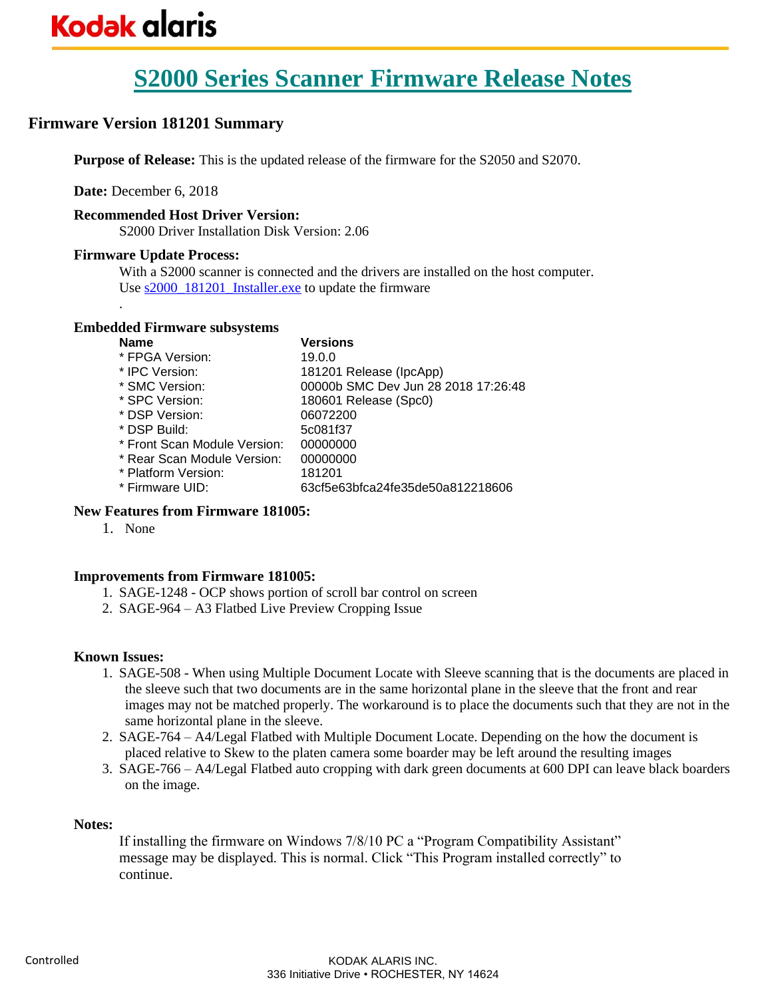### **Firmware Version 181201 Summary**

**Purpose of Release:** This is the updated release of the firmware for the S2050 and S2070.

**Date:** December 6, 2018

### **Recommended Host Driver Version:**

S2000 Driver Installation Disk Version: 2.06

### **Firmware Update Process:**

.

With a S2000 scanner is connected and the drivers are installed on the host computer. Use  $s2000$  181201 Installer.exe to update the firmware

### **Embedded Firmware subsystems**

| <b>Name</b>                  | <b>Versions</b>                     |
|------------------------------|-------------------------------------|
| * FPGA Version:              | 19.0.0                              |
| * IPC Version:               | 181201 Release (IpcApp)             |
| * SMC Version:               | 00000b SMC Dev Jun 28 2018 17:26:48 |
| * SPC Version:               | 180601 Release (Spc0)               |
| * DSP Version:               | 06072200                            |
| * DSP Build:                 | 5c081f37                            |
| * Front Scan Module Version: | 00000000                            |
| * Rear Scan Module Version:  | 00000000                            |
| * Platform Version:          | 181201                              |
| * Firmware UID:              | 63cf5e63bfca24fe35de50a812218606    |
|                              |                                     |

### **New Features from Firmware 181005:**

1. None

### **Improvements from Firmware 181005:**

- 1. SAGE-1248 OCP shows portion of scroll bar control on screen
- 2. SAGE-964 A3 Flatbed Live Preview Cropping Issue

### **Known Issues:**

- 1. SAGE-508 When using Multiple Document Locate with Sleeve scanning that is the documents are placed in the sleeve such that two documents are in the same horizontal plane in the sleeve that the front and rear images may not be matched properly. The workaround is to place the documents such that they are not in the same horizontal plane in the sleeve.
- 2. SAGE-764 A4/Legal Flatbed with Multiple Document Locate. Depending on the how the document is placed relative to Skew to the platen camera some boarder may be left around the resulting images
- 3. SAGE-766 A4/Legal Flatbed auto cropping with dark green documents at 600 DPI can leave black boarders on the image.

### **Notes:**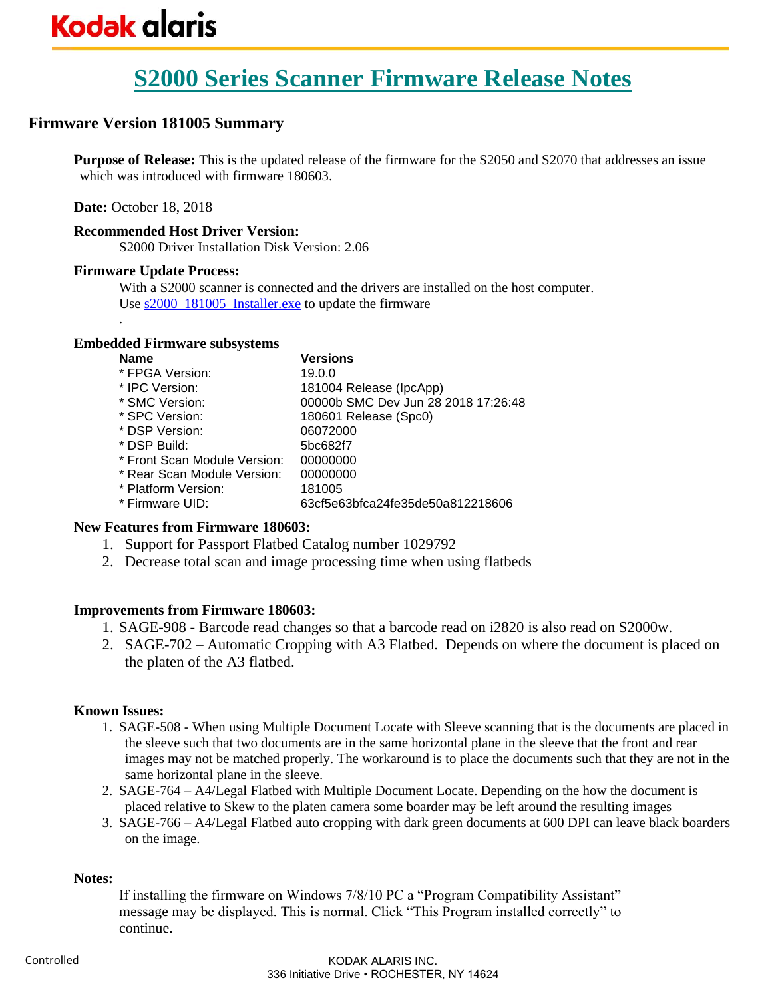### **Firmware Version 181005 Summary**

**Purpose of Release:** This is the updated release of the firmware for the S2050 and S2070 that addresses an issue which was introduced with firmware 180603.

**Date:** October 18, 2018

### **Recommended Host Driver Version:**

S2000 Driver Installation Disk Version: 2.06

### **Firmware Update Process:**

.

With a S2000 scanner is connected and the drivers are installed on the host computer. Use  $s2000$  181005 Installer.exe to update the firmware

### **Embedded Firmware subsystems**

| <b>Name</b>                  | <b>Versions</b>                     |
|------------------------------|-------------------------------------|
| * FPGA Version:              | 19.0.0                              |
| * IPC Version:               | 181004 Release (IpcApp)             |
| * SMC Version:               | 00000b SMC Dev Jun 28 2018 17:26:48 |
| * SPC Version:               | 180601 Release (Spc0)               |
| * DSP Version:               | 06072000                            |
| * DSP Build:                 | 5bc682f7                            |
| * Front Scan Module Version: | 00000000                            |
| * Rear Scan Module Version:  | 00000000                            |
| * Platform Version:          | 181005                              |
| * Firmware UID:              | 63cf5e63bfca24fe35de50a812218606    |
|                              |                                     |

### **New Features from Firmware 180603:**

- 1. Support for Passport Flatbed Catalog number 1029792
- 2. Decrease total scan and image processing time when using flatbeds

### **Improvements from Firmware 180603:**

- 1. SAGE-908 Barcode read changes so that a barcode read on i2820 is also read on S2000w.
- 2. SAGE-702 Automatic Cropping with A3 Flatbed. Depends on where the document is placed on the platen of the A3 flatbed.

### **Known Issues:**

- 1. SAGE-508 When using Multiple Document Locate with Sleeve scanning that is the documents are placed in the sleeve such that two documents are in the same horizontal plane in the sleeve that the front and rear images may not be matched properly. The workaround is to place the documents such that they are not in the same horizontal plane in the sleeve.
- 2. SAGE-764 A4/Legal Flatbed with Multiple Document Locate. Depending on the how the document is placed relative to Skew to the platen camera some boarder may be left around the resulting images
- 3. SAGE-766 A4/Legal Flatbed auto cropping with dark green documents at 600 DPI can leave black boarders on the image.

### **Notes:**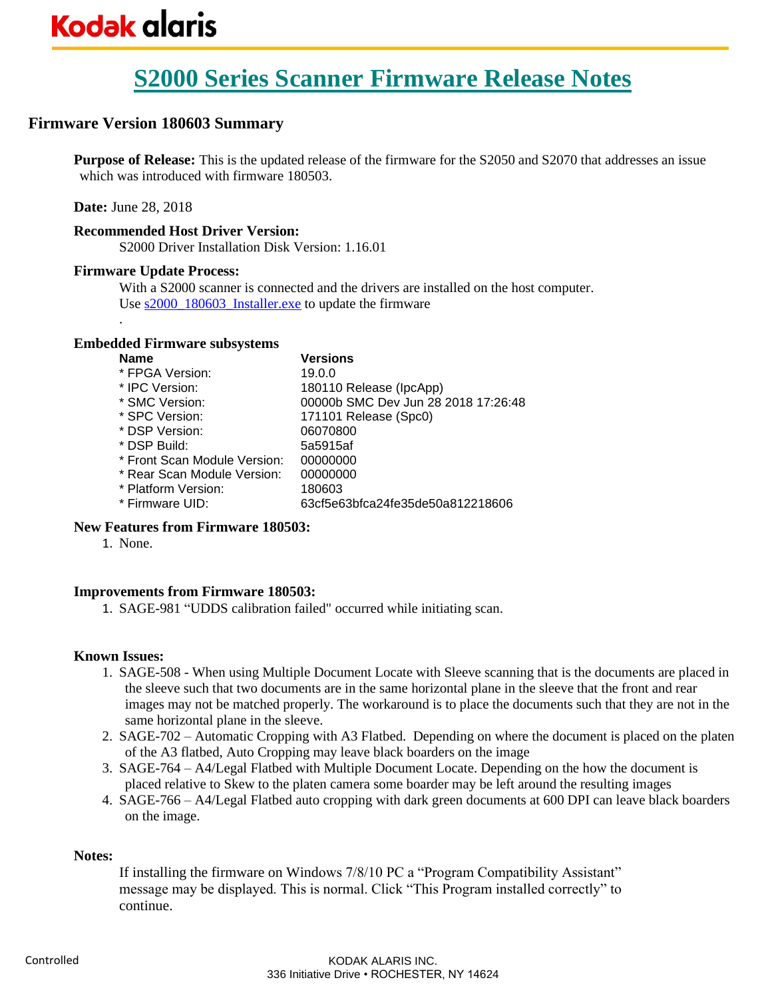### **Firmware Version 180603 Summary**

**Purpose of Release:** This is the updated release of the firmware for the S2050 and S2070 that addresses an issue which was introduced with firmware 180503.

**Date:** June 28, 2018

.

### **Recommended Host Driver Version:**

S2000 Driver Installation Disk Version: 1.16.01

#### **Firmware Update Process:**

With a S2000 scanner is connected and the drivers are installed on the host computer. Use  $s2000$  180603 Installer.exe to update the firmware

### **Embedded Firmware subsystems**

| <b>Name</b>                  | <b>Versions</b>                     |
|------------------------------|-------------------------------------|
| * FPGA Version:              | 19.0.0                              |
| * IPC Version:               | 180110 Release (IpcApp)             |
| * SMC Version:               | 00000b SMC Dev Jun 28 2018 17:26:48 |
| * SPC Version:               | 171101 Release (Spc0)               |
| * DSP Version:               | 06070800                            |
| * DSP Build:                 | 5a5915af                            |
| * Front Scan Module Version: | 00000000                            |
| * Rear Scan Module Version:  | 00000000                            |
| * Platform Version:          | 180603                              |
| * Firmware UID:              | 63cf5e63bfca24fe35de50a812218606    |
|                              |                                     |

### **New Features from Firmware 180503:**

1. None.

### **Improvements from Firmware 180503:**

1. SAGE-981 "UDDS calibration failed" occurred while initiating scan.

### **Known Issues:**

- 1. SAGE-508 When using Multiple Document Locate with Sleeve scanning that is the documents are placed in the sleeve such that two documents are in the same horizontal plane in the sleeve that the front and rear images may not be matched properly. The workaround is to place the documents such that they are not in the same horizontal plane in the sleeve.
- 2. SAGE-702 Automatic Cropping with A3 Flatbed. Depending on where the document is placed on the platen of the A3 flatbed, Auto Cropping may leave black boarders on the image
- 3. SAGE-764 A4/Legal Flatbed with Multiple Document Locate. Depending on the how the document is placed relative to Skew to the platen camera some boarder may be left around the resulting images
- 4. SAGE-766 A4/Legal Flatbed auto cropping with dark green documents at 600 DPI can leave black boarders on the image.

#### **Notes:**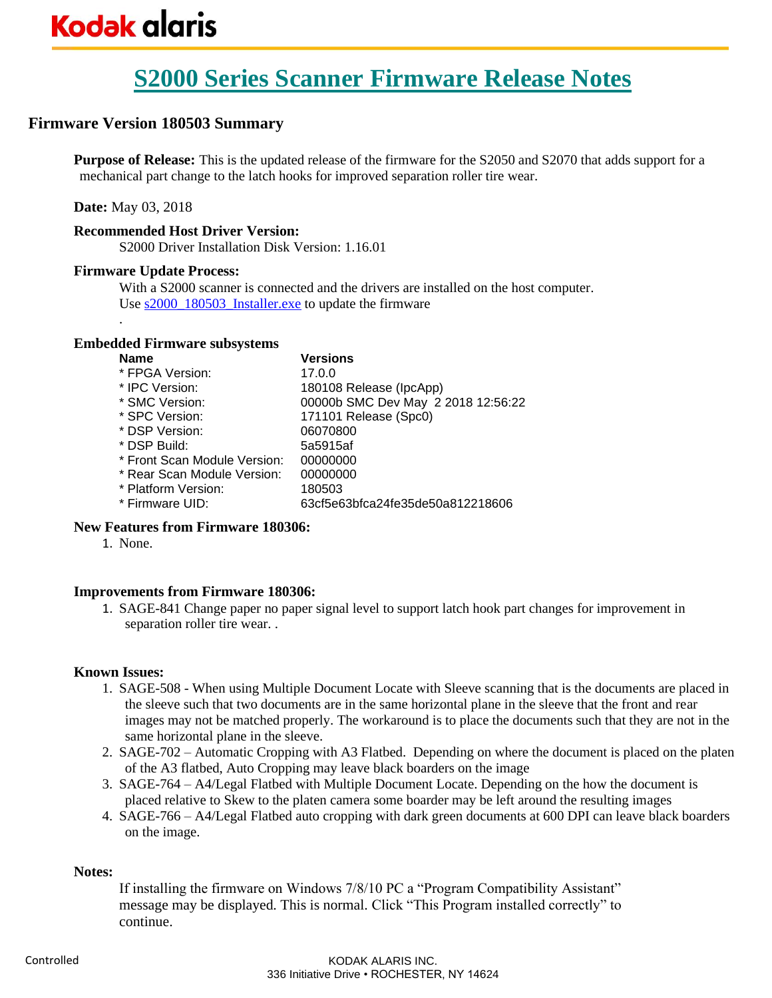### **Firmware Version 180503 Summary**

**Purpose of Release:** This is the updated release of the firmware for the S2050 and S2070 that adds support for a mechanical part change to the latch hooks for improved separation roller tire wear.

**Date:** May 03, 2018

.

### **Recommended Host Driver Version:**

S2000 Driver Installation Disk Version: 1.16.01

### **Firmware Update Process:**

With a S2000 scanner is connected and the drivers are installed on the host computer. Use  $s2000$  180503 Installer.exe to update the firmware

### **Embedded Firmware subsystems**

| <b>Name</b>                  | <b>Versions</b>                    |
|------------------------------|------------------------------------|
| * FPGA Version:              | 17.0.0                             |
| * IPC Version:               | 180108 Release (IpcApp)            |
| * SMC Version:               | 00000b SMC Dev May 2 2018 12:56:22 |
| * SPC Version:               | 171101 Release (Spc0)              |
| * DSP Version:               | 06070800                           |
| * DSP Build:                 | 5a5915af                           |
| * Front Scan Module Version: | 00000000                           |
| * Rear Scan Module Version:  | 00000000                           |
| * Platform Version:          | 180503                             |
| * Firmware UID:              | 63cf5e63bfca24fe35de50a812218606   |
|                              |                                    |

### **New Features from Firmware 180306:**

1. None.

### **Improvements from Firmware 180306:**

1. SAGE-841 Change paper no paper signal level to support latch hook part changes for improvement in separation roller tire wear. .

### **Known Issues:**

- 1. SAGE-508 When using Multiple Document Locate with Sleeve scanning that is the documents are placed in the sleeve such that two documents are in the same horizontal plane in the sleeve that the front and rear images may not be matched properly. The workaround is to place the documents such that they are not in the same horizontal plane in the sleeve.
- 2. SAGE-702 Automatic Cropping with A3 Flatbed. Depending on where the document is placed on the platen of the A3 flatbed, Auto Cropping may leave black boarders on the image
- 3. SAGE-764 A4/Legal Flatbed with Multiple Document Locate. Depending on the how the document is placed relative to Skew to the platen camera some boarder may be left around the resulting images
- 4. SAGE-766 A4/Legal Flatbed auto cropping with dark green documents at 600 DPI can leave black boarders on the image.

### **Notes:**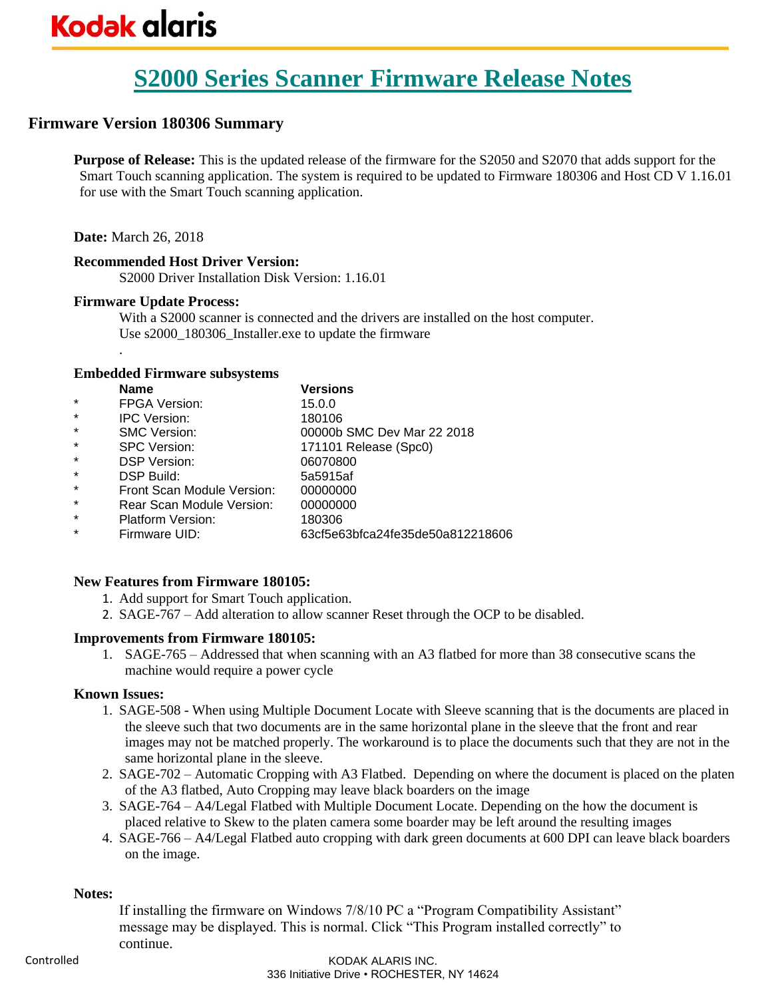# **Kodak glaris**

## **S2000 Series Scanner Firmware Release Notes**

### **Firmware Version 180306 Summary**

**Purpose of Release:** This is the updated release of the firmware for the S2050 and S2070 that adds support for the Smart Touch scanning application. The system is required to be updated to Firmware 180306 and Host CD V 1.16.01 for use with the Smart Touch scanning application.

### **Date:** March 26, 2018

.

### **Recommended Host Driver Version:**

S2000 Driver Installation Disk Version: 1.16.01

### **Firmware Update Process:**

With a S2000 scanner is connected and the drivers are installed on the host computer. Use s2000 180306 Installer.exe to update the firmware

### **Embedded Firmware subsystems**

|         | <b>Name</b>                | <b>Versions</b>                  |
|---------|----------------------------|----------------------------------|
| $\star$ | <b>FPGA Version:</b>       | 15.0.0                           |
| $\star$ | <b>IPC Version:</b>        | 180106                           |
| $\star$ | <b>SMC Version:</b>        | 00000b SMC Dev Mar 22 2018       |
| $\star$ | <b>SPC Version:</b>        | 171101 Release (Spc0)            |
| $\star$ | <b>DSP Version:</b>        | 06070800                         |
| $\star$ | DSP Build:                 | 5a5915af                         |
| $\star$ | Front Scan Module Version: | 00000000                         |
| $\star$ | Rear Scan Module Version:  | 00000000                         |
| $\star$ | <b>Platform Version:</b>   | 180306                           |
| $\star$ | Firmware UID:              | 63cf5e63bfca24fe35de50a812218606 |
|         |                            |                                  |

### **New Features from Firmware 180105:**

1. Add support for Smart Touch application.

2. SAGE-767 – Add alteration to allow scanner Reset through the OCP to be disabled.

### **Improvements from Firmware 180105:**

1. SAGE-765 – Addressed that when scanning with an A3 flatbed for more than 38 consecutive scans the machine would require a power cycle

### **Known Issues:**

- 1. SAGE-508 When using Multiple Document Locate with Sleeve scanning that is the documents are placed in the sleeve such that two documents are in the same horizontal plane in the sleeve that the front and rear images may not be matched properly. The workaround is to place the documents such that they are not in the same horizontal plane in the sleeve.
- 2. SAGE-702 Automatic Cropping with A3 Flatbed. Depending on where the document is placed on the platen of the A3 flatbed, Auto Cropping may leave black boarders on the image
- 3. SAGE-764 A4/Legal Flatbed with Multiple Document Locate. Depending on the how the document is placed relative to Skew to the platen camera some boarder may be left around the resulting images
- 4. SAGE-766 A4/Legal Flatbed auto cropping with dark green documents at 600 DPI can leave black boarders on the image.

### **Notes:**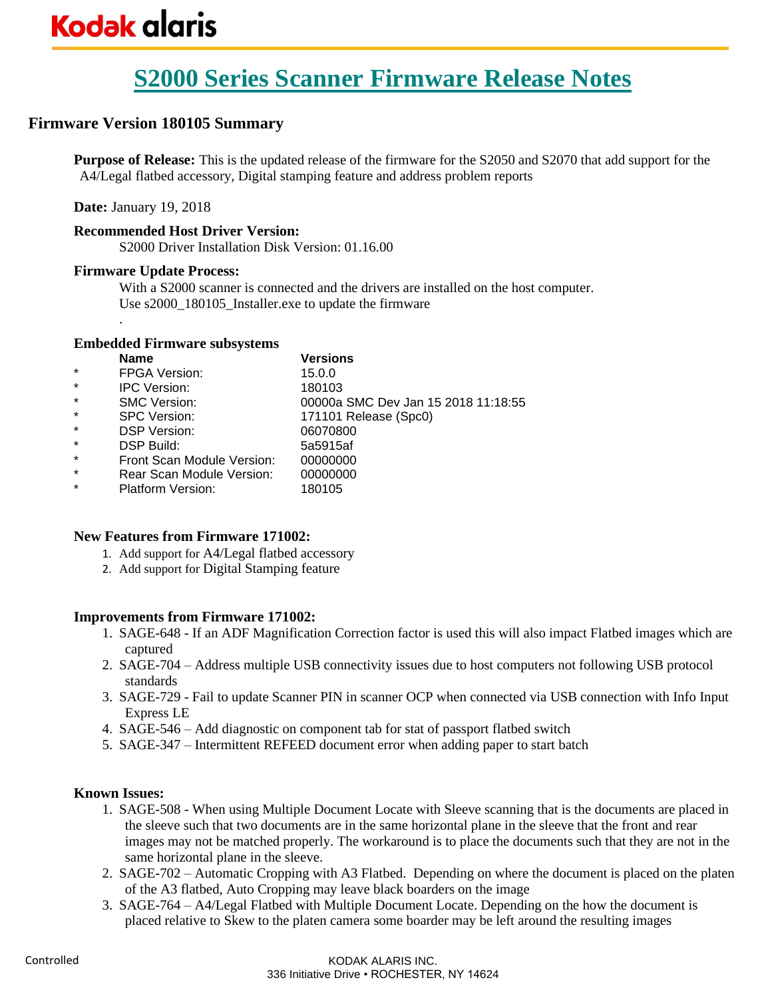### **Firmware Version 180105 Summary**

**Purpose of Release:** This is the updated release of the firmware for the S2050 and S2070 that add support for the A4/Legal flatbed accessory, Digital stamping feature and address problem reports

**Date:** January 19, 2018

.

### **Recommended Host Driver Version:**

S2000 Driver Installation Disk Version: 01.16.00

### **Firmware Update Process:**

With a S2000 scanner is connected and the drivers are installed on the host computer. Use s2000\_180105\_Installer.exe to update the firmware

### **Embedded Firmware subsystems**

|         | <b>Name</b>                | <b>Versions</b>                     |
|---------|----------------------------|-------------------------------------|
| $\star$ | <b>FPGA Version:</b>       | 15.0.0                              |
| $\star$ | <b>IPC Version:</b>        | 180103                              |
| $\star$ | <b>SMC Version:</b>        | 00000a SMC Dev Jan 15 2018 11:18:55 |
| $\star$ | <b>SPC Version:</b>        | 171101 Release (Spc0)               |
| $\star$ | <b>DSP Version:</b>        | 06070800                            |
| $\star$ | DSP Build:                 | 5a5915af                            |
| $\star$ | Front Scan Module Version: | 00000000                            |
| $\star$ | Rear Scan Module Version:  | 00000000                            |
| $\star$ | <b>Platform Version:</b>   | 180105                              |

### **New Features from Firmware 171002:**

- 1. Add support for A4/Legal flatbed accessory
- 2. Add support for Digital Stamping feature

### **Improvements from Firmware 171002:**

- 1. SAGE-648 If an ADF Magnification Correction factor is used this will also impact Flatbed images which are captured
- 2. SAGE-704 Address multiple USB connectivity issues due to host computers not following USB protocol standards
- 3. SAGE-729 Fail to update Scanner PIN in scanner OCP when connected via USB connection with Info Input Express LE
- 4. SAGE-546 Add diagnostic on component tab for stat of passport flatbed switch
- 5. SAGE-347 Intermittent REFEED document error when adding paper to start batch

### **Known Issues:**

- 1. SAGE-508 When using Multiple Document Locate with Sleeve scanning that is the documents are placed in the sleeve such that two documents are in the same horizontal plane in the sleeve that the front and rear images may not be matched properly. The workaround is to place the documents such that they are not in the same horizontal plane in the sleeve.
- 2. SAGE-702 Automatic Cropping with A3 Flatbed. Depending on where the document is placed on the platen of the A3 flatbed, Auto Cropping may leave black boarders on the image
- 3. SAGE-764 A4/Legal Flatbed with Multiple Document Locate. Depending on the how the document is placed relative to Skew to the platen camera some boarder may be left around the resulting images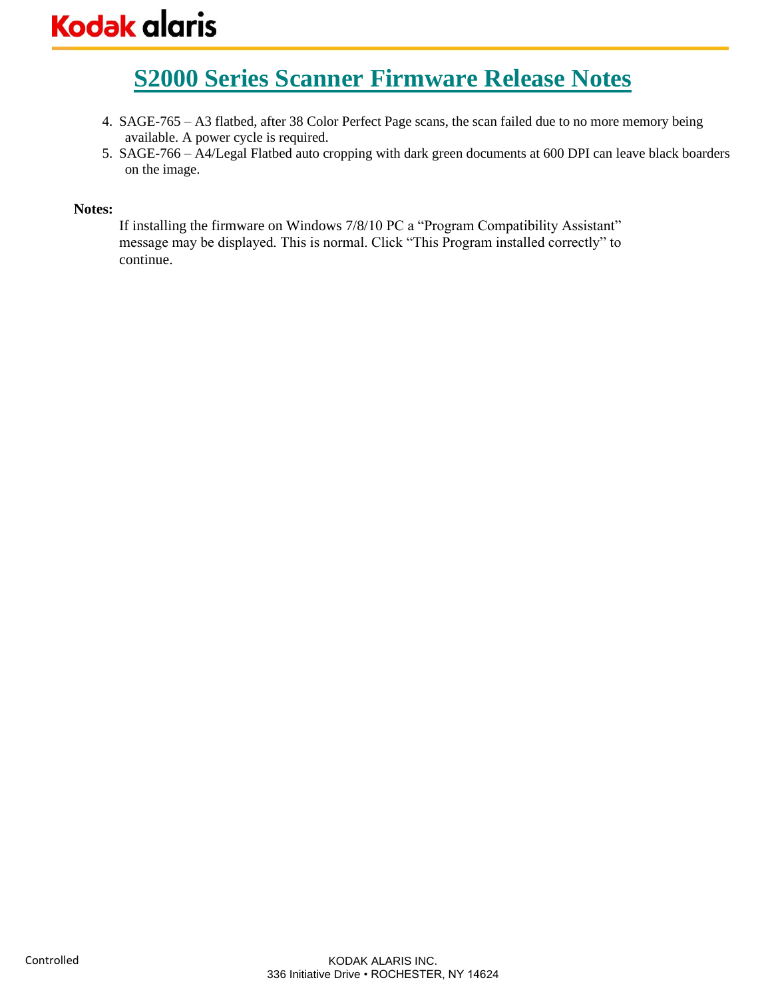- 4. SAGE-765 A3 flatbed, after 38 Color Perfect Page scans, the scan failed due to no more memory being available. A power cycle is required.
- 5. SAGE-766 A4/Legal Flatbed auto cropping with dark green documents at 600 DPI can leave black boarders on the image.

### **Notes:**